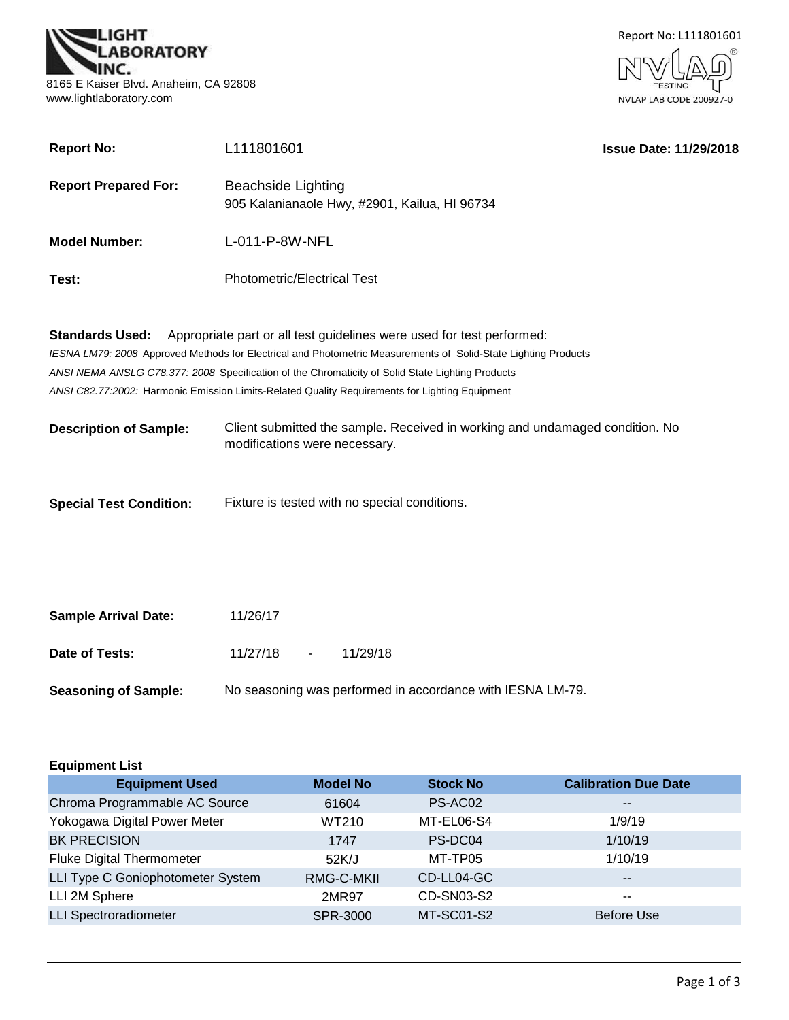



| <b>Report No:</b>              | L111801601                                                                                                                                                                              | <b>Issue Date: 11/29/2018</b> |
|--------------------------------|-----------------------------------------------------------------------------------------------------------------------------------------------------------------------------------------|-------------------------------|
| <b>Report Prepared For:</b>    | <b>Beachside Lighting</b><br>905 Kalanianaole Hwy, #2901, Kailua, HI 96734                                                                                                              |                               |
| <b>Model Number:</b>           | L-011-P-8W-NFL                                                                                                                                                                          |                               |
| Test:                          | <b>Photometric/Electrical Test</b>                                                                                                                                                      |                               |
| <b>Standards Used:</b>         | Appropriate part or all test guidelines were used for test performed:<br>IESNA LM79: 2008 Approved Methods for Electrical and Photometric Measurements of Solid-State Lighting Products |                               |
|                                | ANSI NEMA ANSLG C78.377: 2008 Specification of the Chromaticity of Solid State Lighting Products                                                                                        |                               |
|                                | ANSI C82.77:2002: Harmonic Emission Limits-Related Quality Requirements for Lighting Equipment                                                                                          |                               |
| <b>Description of Sample:</b>  | Client submitted the sample. Received in working and undamaged condition. No<br>modifications were necessary.                                                                           |                               |
| <b>Special Test Condition:</b> | Fixture is tested with no special conditions.                                                                                                                                           |                               |

| <b>Sample Arrival Date:</b> | 11/26/17                                                   |  |          |  |
|-----------------------------|------------------------------------------------------------|--|----------|--|
| Date of Tests:              | $11/27/18 -$                                               |  | 11/29/18 |  |
| <b>Seasoning of Sample:</b> | No seasoning was performed in accordance with IESNA LM-79. |  |          |  |

| <b>Equipment List</b>             |                 |                 |                             |  |
|-----------------------------------|-----------------|-----------------|-----------------------------|--|
| <b>Equipment Used</b>             | <b>Model No</b> | <b>Stock No</b> | <b>Calibration Due Date</b> |  |
| Chroma Programmable AC Source     | 61604           | PS-AC02         | $\qquad \qquad -$           |  |
| Yokogawa Digital Power Meter      | WT210           | MT-EL06-S4      | 1/9/19                      |  |
| <b>BK PRECISION</b>               | 1747            | PS-DC04         | 1/10/19                     |  |
| <b>Fluke Digital Thermometer</b>  | 52K/J           | MT-TP05         | 1/10/19                     |  |
| LLI Type C Goniophotometer System | RMG-C-MKII      | CD-LL04-GC      | $- -$                       |  |
| LLI 2M Sphere                     | 2MR97           | CD-SN03-S2      | $- -$                       |  |
| <b>LLI Spectroradiometer</b>      | SPR-3000        | MT-SC01-S2      | <b>Before Use</b>           |  |
|                                   |                 |                 |                             |  |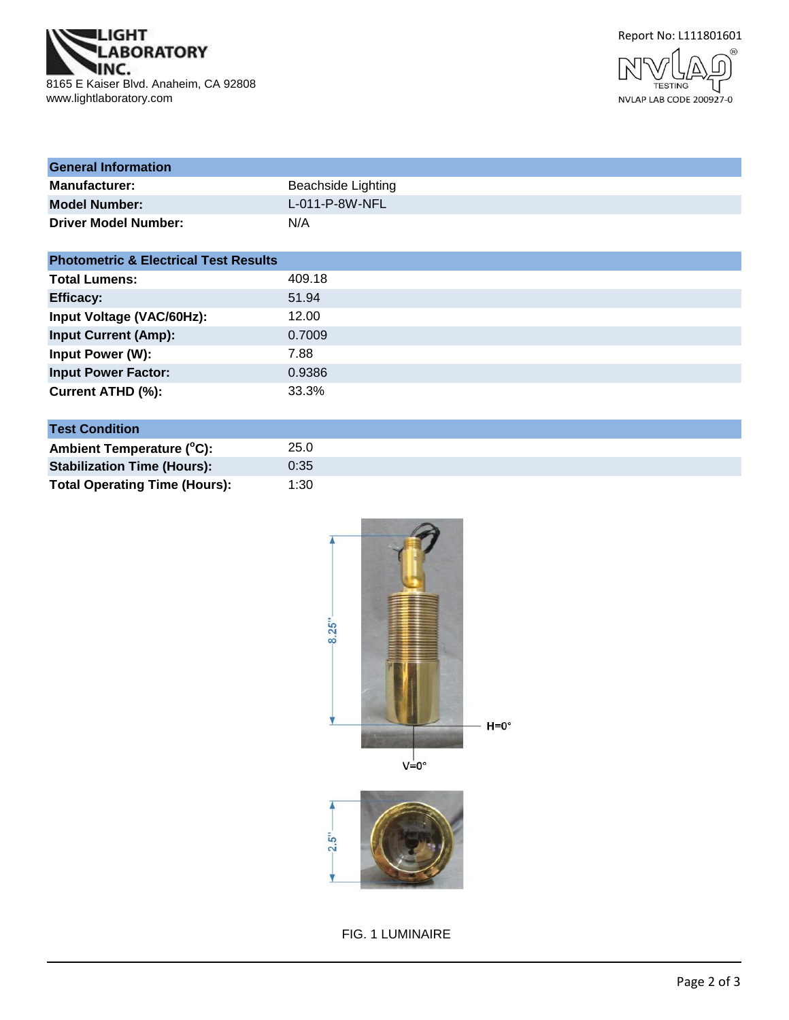



- N **TESTING** NVLAP LAB CODE 200927-0

| <b>General Information</b>  |                    |
|-----------------------------|--------------------|
| <b>Manufacturer:</b>        | Beachside Lighting |
| <b>Model Number:</b>        | $L$ -011-P-8W-NFL  |
| <b>Driver Model Number:</b> | N/A                |

| <b>Photometric &amp; Electrical Test Results</b> |        |
|--------------------------------------------------|--------|
| <b>Total Lumens:</b>                             | 409.18 |
| <b>Efficacy:</b>                                 | 51.94  |
| Input Voltage (VAC/60Hz):                        | 12.00  |
| <b>Input Current (Amp):</b>                      | 0.7009 |
| Input Power (W):                                 | 7.88   |
| <b>Input Power Factor:</b>                       | 0.9386 |
| Current ATHD (%):                                | 33.3%  |

| <b>Test Condition</b>                |      |  |  |
|--------------------------------------|------|--|--|
| Ambient Temperature (°C):            | 25.0 |  |  |
| <b>Stabilization Time (Hours):</b>   | 0:35 |  |  |
| <b>Total Operating Time (Hours):</b> | 1:30 |  |  |



FIG. 1 LUMINAIRE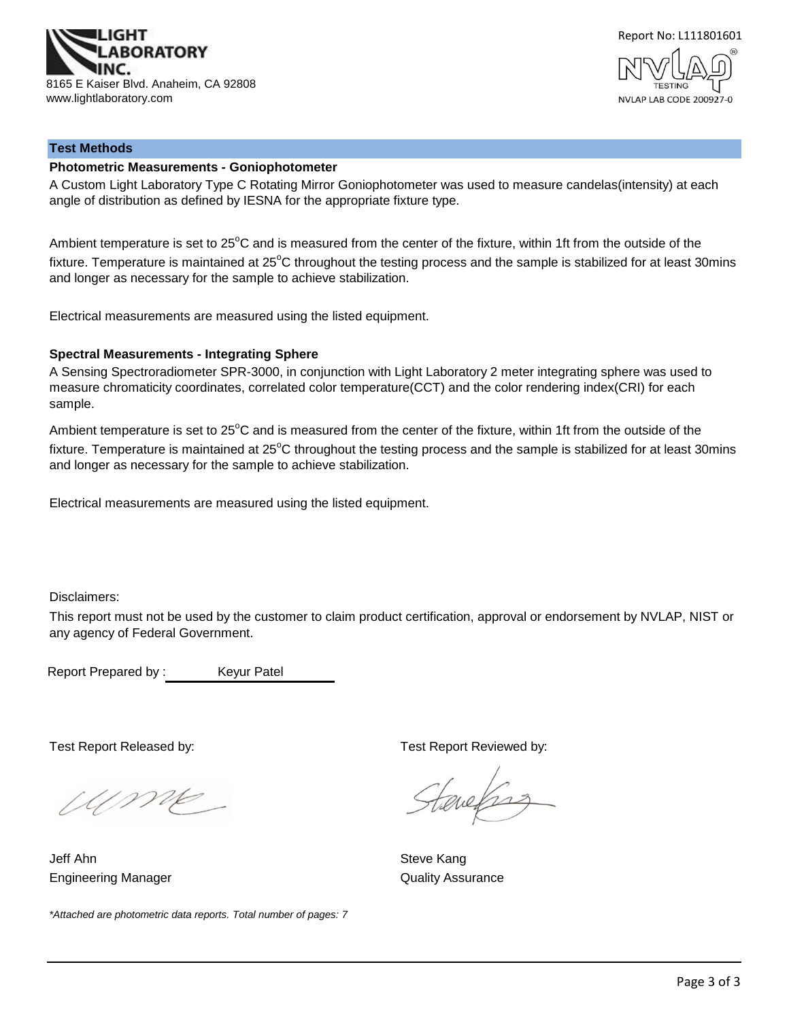



## **Test Methods**

#### **Photometric Measurements - Goniophotometer**

A Custom Light Laboratory Type C Rotating Mirror Goniophotometer was used to measure candelas(intensity) at each angle of distribution as defined by IESNA for the appropriate fixture type.

Ambient temperature is set to  $25^{\circ}$ C and is measured from the center of the fixture, within 1ft from the outside of the fixture. Temperature is maintained at  $25^{\circ}$ C throughout the testing process and the sample is stabilized for at least 30mins and longer as necessary for the sample to achieve stabilization.

Electrical measurements are measured using the listed equipment.

#### **Spectral Measurements - Integrating Sphere**

A Sensing Spectroradiometer SPR-3000, in conjunction with Light Laboratory 2 meter integrating sphere was used to measure chromaticity coordinates, correlated color temperature(CCT) and the color rendering index(CRI) for each sample.

Ambient temperature is set to 25°C and is measured from the center of the fixture, within 1ft from the outside of the fixture. Temperature is maintained at  $25^{\circ}$ C throughout the testing process and the sample is stabilized for at least 30mins and longer as necessary for the sample to achieve stabilization.

Electrical measurements are measured using the listed equipment.

Disclaimers:

This report must not be used by the customer to claim product certification, approval or endorsement by NVLAP, NIST or any agency of Federal Government.

Report Prepared by : Keyur Patel

Ume

Jeff Ahn Steve Kang Engineering Manager **Contract Contract Contract Contract Contract Contract Contract Contract Contract Contract Contract Contract Contract Contract Contract Contract Contract Contract Contract Contract Contract Contract Con** 

*\*Attached are photometric data reports. Total number of pages: 7*

Test Report Released by: Test Report Reviewed by:

tenefras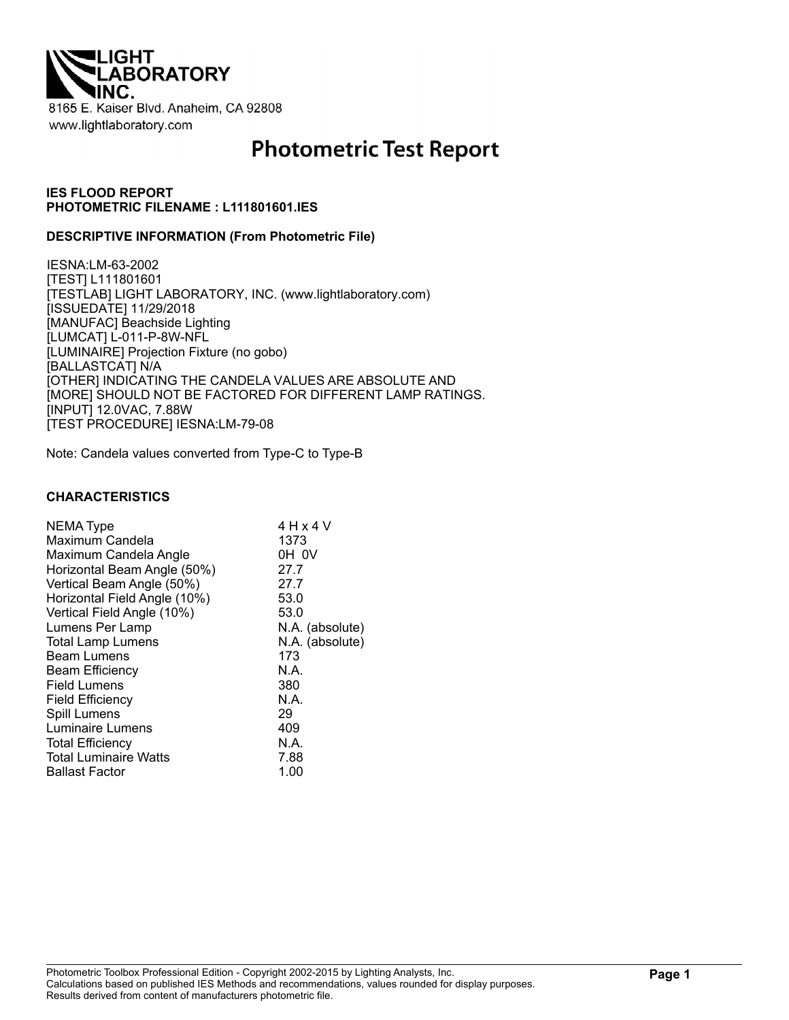

# **Photometric Test Report**

#### **IES FLOOD REPORT PHOTOMETRIC FILENAME : L111801601.IES**

#### **DESCRIPTIVE INFORMATION (From Photometric File)**

IESNA:LM-63-2002 [TEST] L111801601 [TESTLAB] LIGHT LABORATORY, INC. (www.lightlaboratory.com) [ISSUEDATE] 11/29/2018 [MANUFAC] Beachside Lighting [LUMCAT] L-011-P-8W-NFL [LUMINAIRE] Projection Fixture (no gobo) [BALLASTCAT] N/A [OTHER] INDICATING THE CANDELA VALUES ARE ABSOLUTE AND [MORE] SHOULD NOT BE FACTORED FOR DIFFERENT LAMP RATINGS. [INPUT] 12.0VAC, 7.88W [TEST PROCEDURE] IESNA:LM-79-08

Note: Candela values converted from Type-C to Type-B

#### **CHARACTERISTICS**

| <b>NEMA Type</b><br>Maximum Candela<br>Maximum Candela Angle<br>Horizontal Beam Angle (50%)<br>Vertical Beam Angle (50%)<br>Horizontal Field Angle (10%)<br>Vertical Field Angle (10%) | 4 H x 4 V<br>1373<br>OH OV<br>27.7<br>27.7<br>53.0<br>53.0 |
|----------------------------------------------------------------------------------------------------------------------------------------------------------------------------------------|------------------------------------------------------------|
|                                                                                                                                                                                        |                                                            |
|                                                                                                                                                                                        |                                                            |
|                                                                                                                                                                                        |                                                            |
|                                                                                                                                                                                        |                                                            |
| Lumens Per Lamp                                                                                                                                                                        | N.A. (absolute)                                            |
| <b>Total Lamp Lumens</b>                                                                                                                                                               | N.A. (absolute)                                            |
| <b>Beam Lumens</b>                                                                                                                                                                     | 173                                                        |
| <b>Beam Efficiency</b>                                                                                                                                                                 | N.A.                                                       |
| Field Lumens                                                                                                                                                                           | 380                                                        |
| <b>Field Efficiency</b>                                                                                                                                                                | N.A.                                                       |
| Spill Lumens                                                                                                                                                                           | 29                                                         |
| Luminaire Lumens                                                                                                                                                                       | 409                                                        |
| <b>Total Efficiency</b>                                                                                                                                                                | N.A.                                                       |
| <b>Total Luminaire Watts</b>                                                                                                                                                           | 7.88                                                       |
| <b>Ballast Factor</b>                                                                                                                                                                  | 1.00                                                       |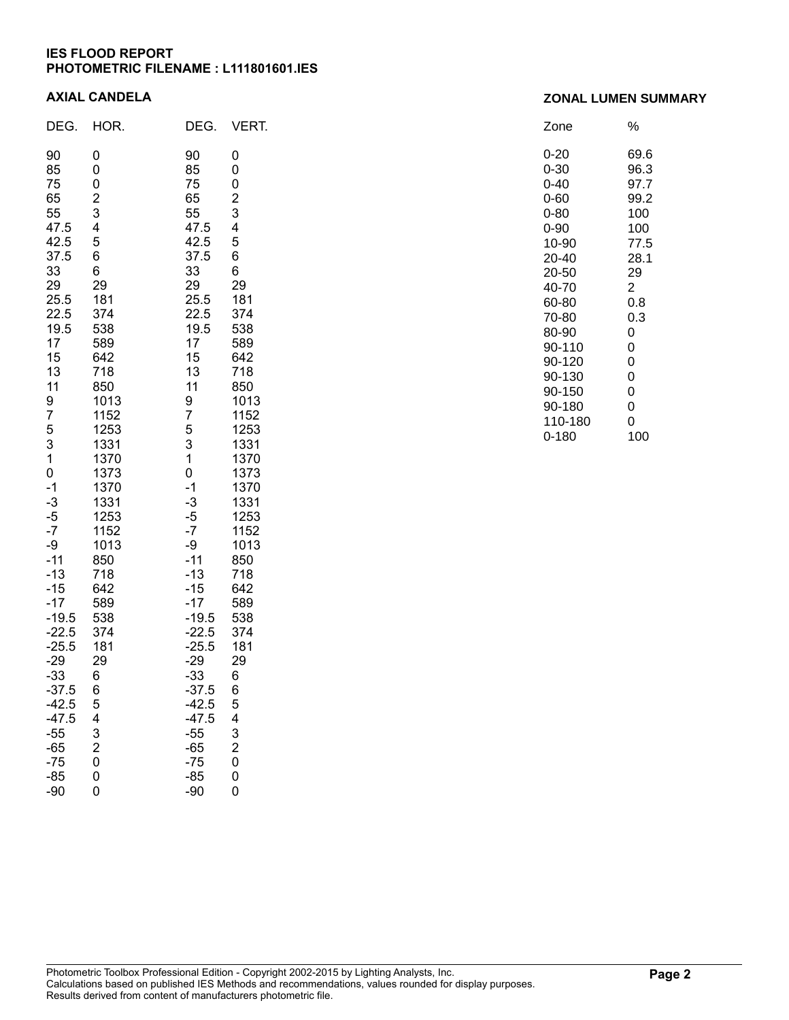#### **IES FLOOD REPORT PHOTOMETRIC FILENAME : L111801601.IES**

#### **AXIAL CANDELA**

| DEG.                                                                                                                                                                                                                                                                                                                                                            | HOR.                                                                                                                                                                                                                                                                                                                      | DEG.                                                                                                                                                                                                                                                                                                                                           | VERT.                                                                                                                                                                                                                                                                                                                  |
|-----------------------------------------------------------------------------------------------------------------------------------------------------------------------------------------------------------------------------------------------------------------------------------------------------------------------------------------------------------------|---------------------------------------------------------------------------------------------------------------------------------------------------------------------------------------------------------------------------------------------------------------------------------------------------------------------------|------------------------------------------------------------------------------------------------------------------------------------------------------------------------------------------------------------------------------------------------------------------------------------------------------------------------------------------------|------------------------------------------------------------------------------------------------------------------------------------------------------------------------------------------------------------------------------------------------------------------------------------------------------------------------|
| 90<br>85<br>75<br>65<br>55<br>47.5<br>42.5<br>37.5<br>33<br>29<br>25.5<br>22.5<br>19.5<br>17<br>15<br>13<br>11<br>9<br>7<br>5<br>3<br>1<br>$\overline{0}$<br>$-1$<br>$-3$<br>$-5$<br>$-7$<br>-9<br>$-11$<br>$-13$<br>$-15$<br>$-17$<br>$-19.5$<br>$-22.5$<br>$-25.5$<br>$-29$<br>$-33$<br>37.5<br>-42.5<br>$-47.5$<br>$-55$<br>$-65$<br>$-75$<br>$-85$<br>$-90$ | 0<br>0<br>0<br>$\frac{2}{3}$<br>4<br>5<br>6<br>6<br>29<br>181<br>374<br>538<br>589<br>642<br>718<br>850<br>1013<br>1152<br>1253<br>1331<br>1370<br>1373<br>1370<br>1331<br>1253<br>1152<br>1013<br>850<br>718<br>642<br>589<br>538<br>374<br>181<br>29<br>6<br>6<br>5<br>4<br>3<br>$\overline{\mathbf{c}}$<br>0<br>0<br>0 | 90<br>85<br>75<br>65<br>55<br>47.5<br>42.5<br>37.5<br>33<br>29<br>25.5<br>22.5<br>19.5<br>17<br>15<br>13<br>11<br>9<br>7<br>5<br>3<br>1<br>0<br>$-1$<br>$-3$<br>$-5$<br>$-7$<br>-9<br>$-11$<br>$-13$<br>$-15$<br>$-17$<br>$-19.5$<br>$-22.5$<br>$-25.5$<br>-29<br>-33<br>37.5<br>$-42.5$<br>$-47.5$<br>$-55$<br>$-65$<br>$-75$<br>$-85$<br>-90 | 0<br>0<br>0<br>$\overline{c}$<br>3<br>4<br>5<br>6<br>6<br>29<br>181<br>374<br>538<br>589<br>642<br>718<br>850<br>1013<br>1152<br>1253<br>1331<br>1370<br>1373<br>1370<br>1331<br>1253<br>1152<br>1013<br>850<br>718<br>642<br>589<br>538<br>374<br>181<br>29<br>6<br>6<br>5<br>4<br>3<br>$\overline{c}$<br>0<br>0<br>0 |

| Zone    | %    |
|---------|------|
| 0-20    | 69.6 |
| 0-30    | 96.3 |
| 0-40    | 97.7 |
| 0-60    | 99.2 |
| 0-80    | 100  |
| 0-90    | 100  |
| 10-90   | 77.5 |
| 20-40   | 28.1 |
| 20-50   | 29   |
| 40-70   | 2    |
| 60-80   | 0.8  |
| 70-80   | 0.3  |
| 80-90   | 0    |
| 90-110  | 0    |
| 90-120  | 0    |
| 90-130  | 0    |
| 90-150  | 0    |
| 90-180  | 0    |
| 110-180 | 0    |
| 0-180   | 100  |

#### Photometric Toolbox Professional Edition - Copyright 2002-2015 by Lighting Analysts, Inc. Calculations based on published IES Methods and recommendations, values rounded for display purposes. Results derived from content of manufacturers photometric file.

#### **ZONAL LUMEN SUMMARY**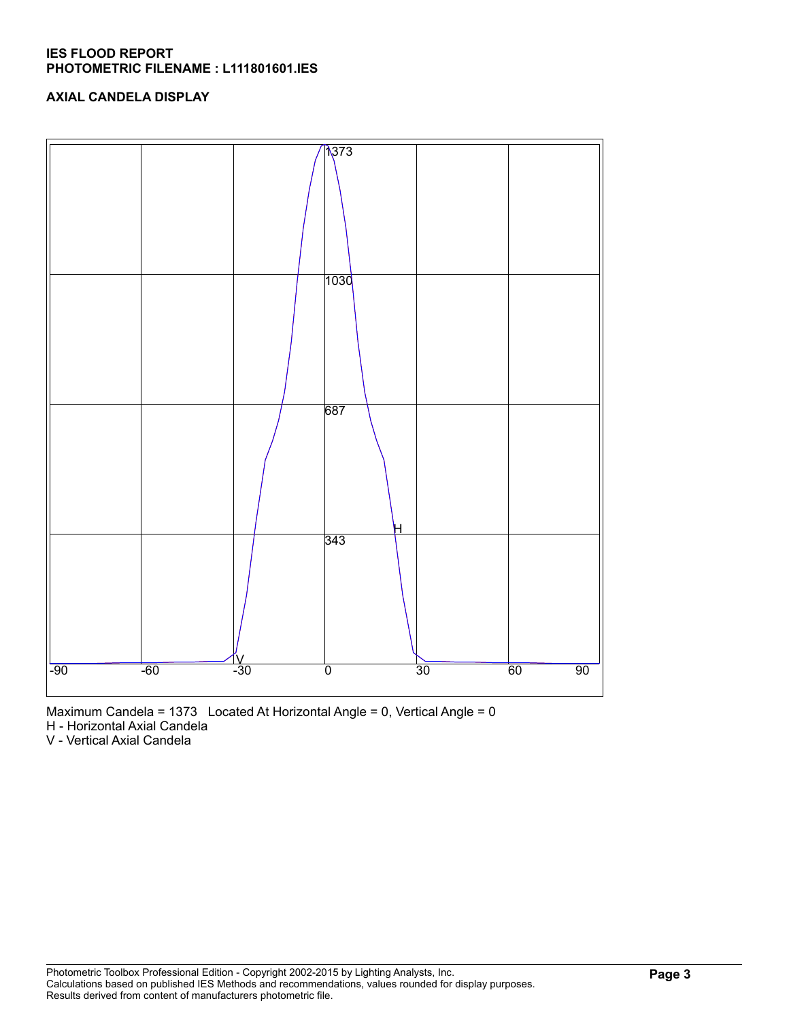#### **IES FLOOD REPORT PHOTOMETRIC FILENAME : L111801601.IES**

## **AXIAL CANDELA DISPLAY**





H - Horizontal Axial Candela

V - Vertical Axial Candela